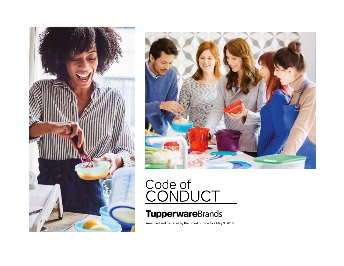



# Code of<br>CONDUCT

### **TupperwareBrands**

Amended and Restated by the Board of Directors May 9, 2018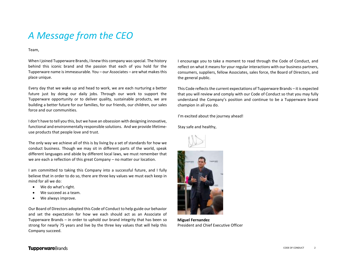## *A Message from the CEO*

Team,

When I joined Tupperware Brands, I knew this company was special. The history behind this iconic brand and the passion that each of you hold for the Tupperware name is immeasurable. You – our Associates – are what makes this place unique.

Every day that we wake up and head to work, we are each nurturing a better future just by doing our daily jobs. Through our work to support the Tupperware opportunity or to deliver quality, sustainable products, we are building a better future for our families, for our friends, our children, our sales force and our communities.

I don't have to tell you this, but we have an obsession with designing innovative, functional and environmentally responsible solutions. And we provide lifetimeuse products that people love and trust.

The only way we achieve all of this is by living by a set of standards for how we conduct business. Though we may sit in different parts of the world, speak different languages and abide by different local laws, we must remember that we are each a reflection of this great Company – no matter our location.

I am committed to taking this Company into a successful future, and I fully believe that in order to do so, there are three key values we must each keep in mind for all we do:

- We do what's right.
- We succeed as a team.
- We always improve.

Our Board of Directors adopted this Code of Conduct to help guide our behavior and set the expectation for how we each should act as an Associate of Tupperware Brands – in order to uphold our brand integrity that has been so strong for nearly 75 years and live by the three key values that will help this Company succeed.

I encourage you to take a moment to read through the Code of Conduct, and reflect on what it means for your regular interactions with our business partners, consumers, suppliers, fellow Associates, sales force, the Board of Directors, and the general public.

This Code reflects the current expectations of Tupperware Brands – it is expected that you will review and comply with our Code of Conduct so that you may fully understand the Company's position and continue to be a Tupperware brand champion in all you do.

I'm excited about the journey ahead!

Stay safe and healthy,





**Miguel Fernandez** President and Chief Executive Officer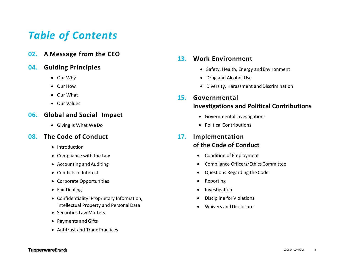## *Table of Contents*

**02. A Message from the CEO**

### **04. Guiding Principles**

- Our Why
- Our How
- Our What
- Our Values

### **06. Global and Social Impact**

Giving Is What WeDo

### **08. The Code of Conduct**

- Introduction
- Compliance with the Law
- Accounting and Auditing
- Conflicts of Interest
- Corporate Opportunities
- Fair Dealing
- Confidentiality: Proprietary Information, Intellectual Property and Personal Data
- Securities Law Matters
- Payments and Gifts
- Antitrust and Trade Practices

### **13. Work Environment**

- Safety, Health, Energy and Environment
- Drug and Alcohol Use
- Diversity, Harassment and Discrimination
- **15. Governmental Investigations and Political Contributions**
	- Governmental Investigations
	- Political Contributions

### **17. Implementation of the Code of Conduct**

- Condition of Employment
- Compliance Officers/Ethics Committee
- Questions Regarding the Code
- Reporting
- Investigation
- Discipline for Violations
- Waivers and Disclosure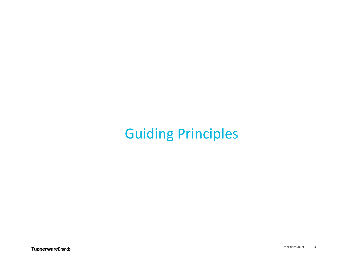## Guiding Principles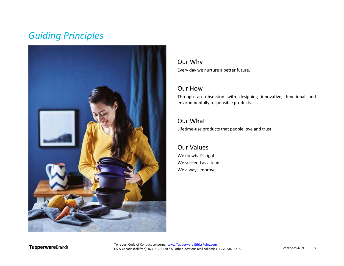## *Guiding Principles*



### Our Why

Every day we nurture a better future.

### Our How

Through an obsession with designing innovative, functional and environmentally responsible products.

### Our What

Lifetime-use products that people love and trust.

### Our Values We do what's right. We succeed as a team. We always improve.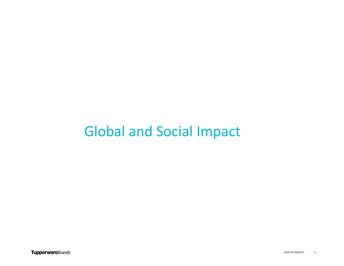## Global and Social Impact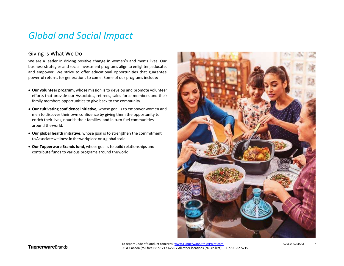### *Global and Social Impact*

### Giving Is What We Do

We are a leader in driving positive change in women's and men's lives. Our business strategies and social investment programs align to enlighten, educate, and empower. We strive to offer educational opportunities that guarantee powerful returns for generations to come. Some of our programs include:

- **Our volunteer program,** whose mission is to develop and promote volunteer efforts that provide our Associates, retirees, sales force members and their family members opportunities to give back to the community.
- **Our cultivating confidence initiative,** whose goal is to empower women and men to discover their own confidence by giving them the opportunity to enrich their lives, nourish their families, and in turn fuel communities around theworld.
- **Our global health initiative,** whose goal is to strengthen the commitment toAssociatewellnessintheworkplaceonaglobalscale.
- **Our Tupperware Brandsfund,** whose goal isto build relationships and contribute funds to various programs around theworld.



To report Code of Conduct concerns: [www.Tupperware.EthicsPoint.com](http://www.tupperware.ethicspoint.com/) US & Canada (toll free): 877-217-6220 / All other locations (call collect): + 1 770-582-5215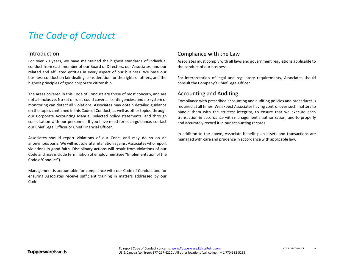### Introduction

For over 70 years, we have maintained the highest standards of individual conduct from each member of our Board of Directors, our Associates, and our related and affiliated entities in every aspect of our business. We base our business conduct on fair dealing, consideration for the rights of others, and the highest principles of good corporate citizenship.

The areas covered in this Code of Conduct are those of most concern, and are not all-inclusive. No set of rules could cover all contingencies, and no system of monitoring can detect all violations. Associates may obtain detailed guidance on the topics contained in this Code of Conduct, as well as other topics, through our Corporate Accounting Manual, selected policy statements, and through consultation with our personnel. If you have need for such guidance, contact our Chief Legal Officer or Chief Financial Officer.

Associates should report violations of our Code, and may do so on an anonymous basis. We will not tolerate retaliation against Associates who report violations in good faith. Disciplinary actions will result from violations of our Code and may include termination of employment(see "Implementation of the Code ofConduct").

Management is accountable for compliance with our Code of Conduct and for ensuring Associates receive sufficient training in matters addressed by our Code.

### Compliance with the Law

Associates must comply with all laws and government regulations applicable to the conduct of our business.

For interpretation of legal and regulatory requirements, Associates should consult the Company's Chief LegalOfficer.

### Accounting and Auditing

Compliance with prescribed accounting and auditing policies and procedures is required at all times. We expect Associates having control over such matters to handle them with the strictest integrity, to ensure that we execute each transaction in accordance with management's authorization, and to properly and accurately record it in our accounting records.

In addition to the above, Associate benefit plan assets and transactions are managed with care and prudence in accordance with applicable law.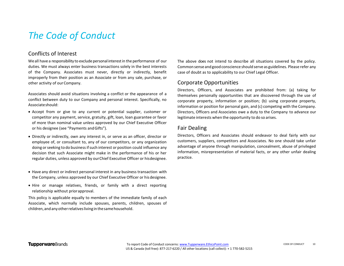### Conflicts of Interest

We all have a responsibility to exclude personal interest in the performance of our duties. We must always enter business transactions solely in the best interests of the Company. Associates must never, directly or indirectly, benefit improperly from their position as an Associate or from any sale, purchase, or other activity of our Company.

Associates should avoid situations involving a conflict or the appearance of a conflict between duty to our Company and personal interest. Specifically, no Associateshould:

- Accept from or give to any current or potential supplier, customer or competitor any payment, service, gratuity, gift, loan, loan guarantee or favor of more than nominal value unless approved by our Chief Executive Officer or his designee (see "Payments andGifts").
- Directly or indirectly, own any interest in, or serve as an officer, director or employee of, or consultant to, any of our competitors, or any organization doing or seeking to do business if such interest or position could influence any decision that such Associate might make in the performance of his or her regular duties, unless approved by ourChief Executive Officer or hisdesignee.
- Have any direct or indirect personal interest in any business transaction with the Company, unless approved by our Chief Executive Officer or hisdesignee.
- Hire or manage relatives, friends, or family with a direct reporting relationship without priorapproval.

This policy is applicable equally to members of the immediate family of each Associate, which normally include spouses, parents, children, spouses of children,andanyotherrelativesliving inthesamehousehold.

The above does not intend to describe all situations covered by the policy. Common sense andgood conscience should serve as guidelines. Please refer any case of doubt as to applicability to our Chief Legal Officer.

### Corporate Opportunities

Directors, Officers, and Associates are prohibited from: (a) taking for themselves personally opportunities that are discovered through the use of corporate property, information or position; (b) using corporate property, information or position for personal gain, and (c) competing with the Company. Directors, Officers and Associates owe a duty to the Company to advance our legitimate interests when the opportunity to do so arises.

### Fair Dealing

Directors, Officers and Associates should endeavor to deal fairly with our customers, suppliers, competitors and Associates. No one should take unfair advantage of anyone through manipulation, concealment, abuse of privileged information, misrepresentation of material facts, or any other unfair dealing practice.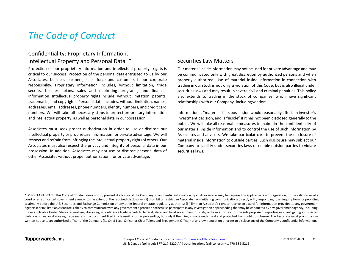### **\*** Intellectual Property and Personal Data Confidentiality: Proprietary Information,

Protection of our proprietary information and intellectual property rights is critical to our success. Protection of the personal data entrusted to us by our Associates, business partners, sales force and customers is our corporate responsibility. Proprietary information includes, without limitation, trade secrets, business plans, sales and marketing programs, and financial information. Intellectual property rights include, without limitation, patents, trademarks, and copyrights. Personal data includes, without limitation, names, addresses, email addresses, phone numbers, identity numbers, and credit card numbers. We will take all necessary steps to protect proprietary information and intellectual property, as well as personal data in ourpossession.

Associates must seek proper authorization in order to use or disclose our intellectual property or proprietary information for private advantage. We will respect and refrain from infringing the intellectual property rightsof others. Our Associates must also respect the privacy and integrity of personal data in our possession. In addition, Associates may not use or disclose personal data of other Associates without proper authorization, for privateadvantage.

### Securities Law Matters

Our material inside information may not be used for private advantage and may be communicated only with great discretion by authorized persons and when properly authorized. Use of material inside information in connection with trading in ourstock is not only a violation of this Code, but is also illegal under securities laws and may result in severe civil and criminal penalties. This policy also extends to trading in the stock of companies, which have significant relationships with our Company, includingvendors.

Information is "material" if its possession would reasonably affect an investor's investment decision, and is "inside" if it has not been disclosed generally to the public. We will take all reasonable measures to maintain the confidentiality of our material inside information and to control the use of such information by Associates and advisors. We take particular care to prevent the disclosure of material inside information to outside parties. Such disclosure may subject our Company to liability under securities laws or enable outside parties to violate securities laws.

\*IMPORTANT NOTE: This Code of Conduct does not: (i) prevent disclosure of the Company's confidential information by an Associate as may be required by applicable law or regulation, or the valid order of a court or an authorized government agency (to the extent of the required disclosure); (ii) prohibit or restrict an Associate from initiating communications directly with, responding to an inquiry from, or providing testimony before the U.S. Securities and Exchange Commission or any other federal or state regulatory authority; (iii) limit an Associate's right to receive an award for information provided to any government agencies; or (iv) limit an Associate's ability to communicate with any government agencies or otherwise participate in any investigation or proceeding that may be conducted by any government agency, including, under applicable United States federal law, disclosing in confidence trade secrets to federal, state, and local government officials, or to an attorney, for the sole purpose of reporting or investigating a suspected violation of law, or disclosing trade secrets in a document filed in a lawsuit or other proceeding, but only if the filing is made under seal and protected from public disclosure. The Associate must promptly give written notice to an authorized officer of the Company (its Chief Legal Officer or Chief Talent and Engagement Officer) of any law, regulation or order to disclose any of the Company's confidential information.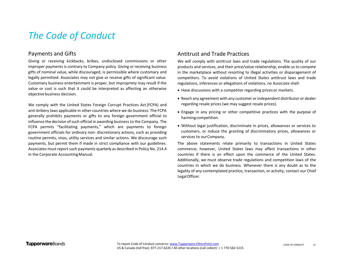### Payments and Gifts

Giving or receiving kickbacks, bribes, undisclosed commissions or other improper payments is contrary to Company policy. Giving or receiving business gifts of nominal value, while discouraged, is permissible where customary and legally permitted. Associates may not give or receive gifts of significant value. Customary business entertainment is proper, but impropriety may result if the value or cost is such that it could be interpreted as affecting an otherwise objective business decision.

We comply with the United States Foreign Corrupt Practices Act(FCPA) and anti-bribery laws applicable in other countries where we do business. The FCPA generally prohibits payments or gifts to any foreign government official to influence the decision of such official in awarding business to the Company. The FCPA permits "facilitating payments," which are payments to foreign government officials for ordinary non- discretionary actions, such as providing routine permits, visas, utility services and similar actions. We discourage such payments, but permit them if made in strict compliance with our guidelines. Associates must report such payments quarterly as described in Policy No. 214.4 in the Corporate Accounting Manual.

### Antitrust and Trade Practices

We will comply with antitrust laws and trade regulations. The quality of our products and services, and their price/value relationship, enable us to compete in the marketplace without resorting to illegal activities or disparagement of competitors. To avoid violations of United States antitrust laws and trade regulations, inferences or allegations of violations, no Associate shall:

- Have discussions with a competitor regarding pricesor markets.
- Reach any agreement with any customer or independent distributor or dealer regarding resale prices (we may suggest resale prices).
- Engage in any pricing or other competitive practices with the purpose of harmingcompetition.
- Without legal justification, discriminate in prices, allowances or services to customers, or induce the granting of discriminatory prices, allowances or services to ourCompany.

The above statements relate primarily to transactions in United States commerce; however, United States laws may affect transactions in other countries if there is an effect upon the commerce of the United States. Additionally, we must observe trade regulations and competition laws of the countries in which we do business. Whenever there is any doubt as to the legality of any contemplated practice, transaction, or activity, contact our Chief LegalOfficer.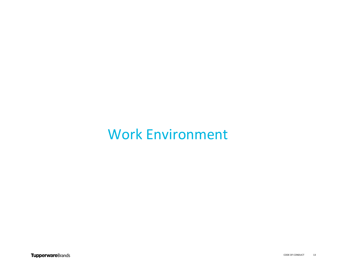## Work Environment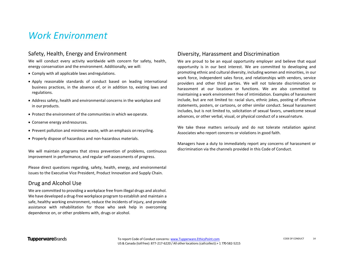### *Work Environment*

### Safety, Health, Energy and Environment

We will conduct every activity worldwide with concern for safety, health, energy conservation and the environment. Additionally, we will:

- Comply with all applicable laws andregulations.
- Apply reasonable standards of conduct based on leading international business practices, in the absence of, or in addition to, existing laws and regulations.
- Address safety, health and environmental concerns in the workplace and in our products.
- Protect the environment of the communities in which weoperate.
- Conserve energy andresources.
- Prevent pollution and minimize waste, with an emphasis on recycling.
- Properly dispose of hazardous and non-hazardous materials.

We will maintain programs that stress prevention of problems, continuous improvement in performance, and regular self-assessments of progress.

Please direct questions regarding, safety, health, energy, and environmental issues to the Executive Vice President, Product Innovation and Supply Chain.

### Drug and Alcohol Use

We are committed to providing a workplace free from illegal drugs and alcohol. We have developed a drug-free workplace program to establish and maintain a safe, healthy working environment, reduce the incidents of injury, and provide assistance with rehabilitation for those who seek help in overcoming dependence on, or other problems with, drugs or alcohol.

### Diversity, Harassment and Discrimination

We are proud to be an equal opportunity employer and believe that equal opportunity is in our best interest. We are committed to developing and promoting ethnic and cultural diversity, including women and minorities, in our work force, independent sales force, and relationships with vendors, service providers and other third parties. We will not tolerate discrimination or harassment at our locations or functions. We are also committed to maintaining a work environment free of intimidation. Examples of harassment include, but are not limited to: racial slurs, ethnic jokes, posting of offensive statements, posters, or cartoons, or other similar conduct. Sexual harassment includes, but is not limited to, solicitation of sexual favors, unwelcome sexual advances, or other verbal, visual, or physical conduct of a sexualnature.

We take these matters seriously and do not tolerate retaliation against Associates who report concerns or violations in good faith.

Managers have a duty to immediately report any concerns of harassment or discrimination via the channels provided in this Code of Conduct.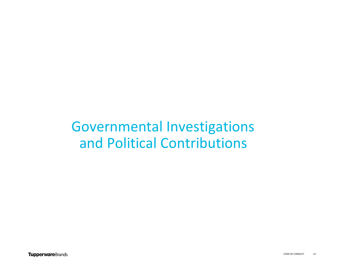## Governmental Investigations and Political Contributions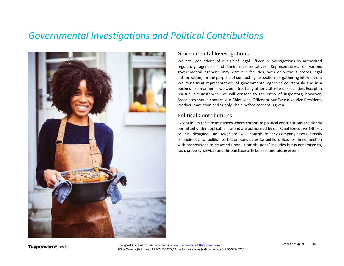### *Governmental Investigations and Political Contributions*



### Governmental Investigations

We act upon advice of our Chief Legal Officer in investigations by authorized regulatory agencies and their representatives. Representatives of various governmental agencies may visit our facilities, with or without proper legal authorization, for the purpose of conducting inspections or gathering information. We must treat representatives of governmental agencies courteously and in a businesslike manner as we would treat any other visitor to our facilities. Except in unusual circumstances, we will consent to the entry of inspectors; however, Associates should contact our Chief Legal Officer or our Executive Vice President, Product Innovation and Supply Chain before consent is given.

### Political Contributions

Except in limited circumstances where corporate political contributions are clearly permitted under applicable law and are authorized by our Chief Executive Officer, or his designee, no Associate will contribute any Company assets, directly or indirectly, to political parties or candidates for public office, or in connection with propositions to be voted upon. "Contributions" includes but is not limited to, cash, property, services and the purchase of tickets to fundraising events.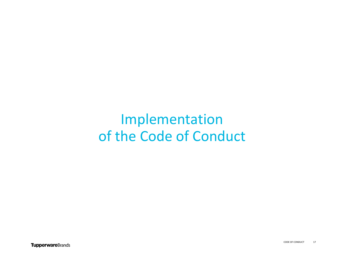## Implementation of the Code of Conduct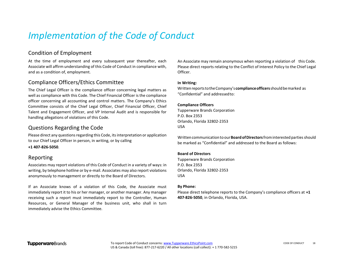## *Implementation of the Code of Conduct*

### Condition of Employment

At the time of employment and every subsequent year thereafter, each Associate will affirm understanding of this Code of Conduct in compliance with, and as a condition of, employment.

### Compliance Officers/Ethics Committee

The Chief Legal Officer is the compliance officer concerning legal matters as well as compliance with this Code. The Chief Financial Officer is the compliance officer concerning all accounting and control matters. The Company's Ethics Committee consists of the Chief Legal Officer, Chief Financial Officer, Chief Talent and Engagement Officer, and VP Internal Audit and is responsible for handling allegations of violations of this Code.

### Questions Regarding the Code

Please direct any questions regarding this Code, its interpretation or application to our Chief Legal Officer in person, in writing, or by calling

### **+1 407-826-5050**.

### Reporting

Associates may report violations of this Code of Conduct in a variety of ways: in writing, by telephone hotline or by e-mail. Associates may also report violations anonymously to management or directly to the Board of Directors.

If an Associate knows of a violation of this Code, the Associate must immediately report it to his or her manager, or another manager. Any manager receiving such a report must immediately report to the Controller, Human Resources, or General Manager of the business unit, who shall in turn immediately advise the Ethics Committee.

An Associate may remain anonymous when reporting a violation of this Code. Please direct reports relating to the Conflict of Interest Policy to the Chief Legal Officer.

#### **In Writing:**

WrittenreportstotheCompany's **complianceofficers**shouldbemarked as "Confidential" and addressedto:

#### **Compliance Officers**

Tupperware Brands Corporation P.O. Box 2353 Orlando, Florida 32802-2353 USA

Writtencommunicationto our**BoardofDirectors**frominterestedparties should be marked as "Confidential" and addressed to the Board as follows:

#### **Board of Directors**

Tupperware Brands Corporation P.O. Box 2353 Orlando, Florida 32802-2353 USA

#### **By Phone:**

Please direct telephone reports to the Company's compliance officers at **+1 407-826-5050**, in Orlando, Florida, USA.